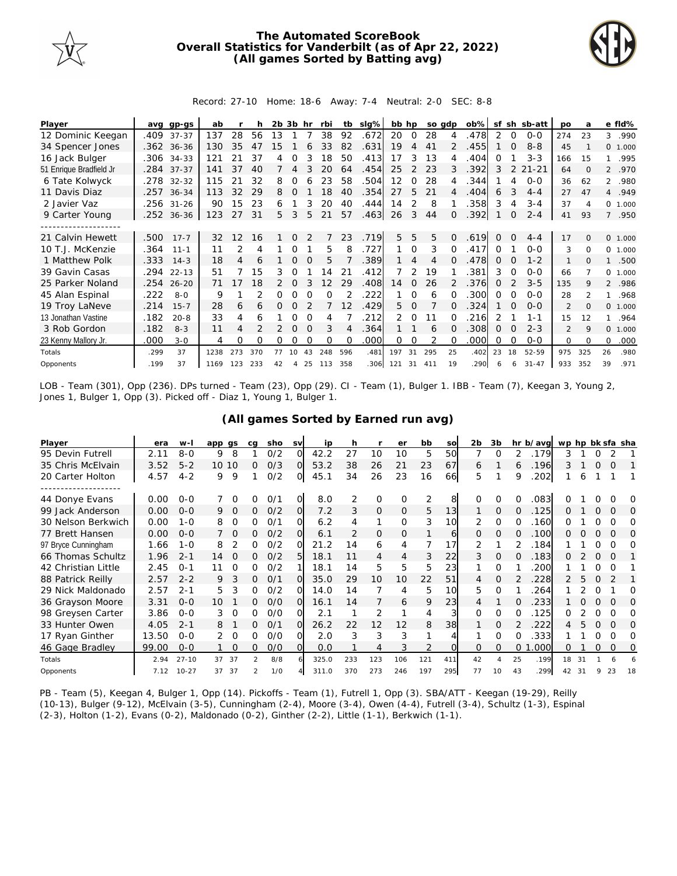

## **The Automated ScoreBook Overall Statistics for Vanderbilt (as of Apr 22, 2022) (All games Sorted by Batting avg)**



## Record: 27-10 Home: 18-6 Away: 7-4 Neutral: 2-0 SEC: 8-8

| Player                  | ava  | $qp-GS$    | ab   |     |     | 2b 3b           |          | hr       | rbi      | tb       | slg% | bb hp |                |     | so adp   | ob%  | sf       |          | sh sb-att | po             | a              |          | e fld%  |
|-------------------------|------|------------|------|-----|-----|-----------------|----------|----------|----------|----------|------|-------|----------------|-----|----------|------|----------|----------|-----------|----------------|----------------|----------|---------|
| 12 Dominic Keegan       | .409 | $37 - 37$  | 137  | 28  | 56  | 13              |          |          | 38       | 92       | .672 | 20    | $\overline{0}$ | 28  |          | 478  | 2        | 0        | $0 - 0$   | 274            | 23             | 3        | .990    |
| 34 Spencer Jones        |      | .362 36-36 | 130  | 35  | 47  | 15 <sub>1</sub> |          |          | 33       | 82       | .631 | 19    | 4              | 41  |          | .455 |          | $\Omega$ | $8 - 8$   | 45             |                |          | 0 1.000 |
| 16 Jack Bulger          | .306 | $34 - 33$  | 121  | 21  | 37  |                 | Ω        |          | 18       | 50       | .413 | 17    | 3              | 13  |          | 404  | Ω        |          | $3 - 3$   | 166            | 15             |          | .995    |
| 51 Enrique Bradfield Jr |      | .284 37-37 | 141  | 37  | 40  |                 | $\Delta$ | 3        | 20       | 64       | .454 | 25    | $\mathcal{P}$  | 23  | 3        | .392 | 3        |          | $21 - 21$ | 64             | $\Omega$       |          | 2 .970  |
| 6 Tate Kolwyck          |      | .278 32-32 | 115  | 21  | 32  | 8               | 0        |          | 23       | 58       | .504 | 12    | 0              | 28  |          | .344 |          | 4        | $O-O$     | 36             | 62             |          | 2 .980  |
| 11 Davis Diaz           | .257 | $36 - 34$  | 113  | 32  | 29  | 8               | $\Omega$ |          | 18       | 40       | .354 | 27    | 5              | 21  | 4        | 404  | 6        |          | $4 - 4$   | 27             | 47             |          | 4.949   |
| 2 Javier Vaz            | .256 | $31 - 26$  | 90   | 15  | 23  | 6               |          | 3        | 20       | 40       | .444 | 14    | 2              | 8   |          | .358 | 3        | 4        | $3 - 4$   | 37             | $\overline{A}$ | $\circ$  | 1.000   |
| 9 Carter Young          |      | .252 36-36 | 123  | 27  | -31 | 5.              | 3        | 5        | 21       | 57       | .463 | 26    | 3              | 44  | $\Omega$ | .392 |          | 0        | $2 - 4$   | 41             | 93             |          | 7 .950  |
|                         |      |            |      |     |     |                 |          |          |          |          |      |       |                |     |          |      |          |          |           |                |                |          |         |
| 21 Calvin Hewett        | .500 | $17 - 7$   | 32   | 12  | 16  |                 | $\Omega$ |          |          | 23       | .719 | 5.    | 5              | 5   | $\Omega$ | .619 | $\Omega$ | $\Omega$ | $4 - 4$   | 17             | $\Omega$       |          | 0 1.000 |
| 10 T.J. McKenzie        | .364 | $11 - 1$   | 11   |     | 4   |                 | Ω        |          | 5        | 8        | .727 |       | $\Omega$       | 3   |          | .417 | 0        |          | $O-O$     | 3              | $\Omega$       | $\Omega$ | 1.000   |
| 1 Matthew Polk          | .333 | $14 - 3$   | 18   |     | 6   |                 | 0        |          | 5        |          | 389  |       | 4              | 4   |          | 478  | $\Omega$ | $\Omega$ | $1 - 2$   | $\mathbf{1}$   | $\Omega$       | 1        | .500    |
| 39 Gavin Casas          | .294 | $22 - 13$  | 51   |     | 15  | 3               | 0        |          | 14       | 21       | .412 |       | 2              | 19  |          | .381 | 3        | $\Omega$ | $0 - 0$   | 66             |                | $\circ$  | 1.000   |
| 25 Parker Noland        | .254 | $26 - 20$  | 71   |     | 18  | 2               | 0        |          | 12       | 29       | .408 | 14    | 0              | 26  |          | .376 | 0        |          | $3 - 5$   | 135            | 9              |          | 2 .986  |
| 45 Alan Espinal         | .222 | $8 - 0$    | 9    |     |     | O               |          |          | $\Omega$ |          | 222  |       | 0              | 6   |          | 300  | 0        |          | $O - O$   | 28             | $\mathcal{P}$  |          | .968    |
| 19 Troy LaNeve          | .214 | $15 - 7$   | 28   | 6   | 6   | 0               | Ω        |          |          | 12       | .429 | 5.    | $\Omega$       |     | 0        | 324  |          | $\Omega$ | $0 - 0$   | 2              | $\Omega$       |          | 0 1.000 |
| 13 Jonathan Vastine     | .182 | $20 - 8$   | 33   | 4   | 6   |                 | O        |          | 4        |          | 212  | 2     | $\Omega$       |     |          | 216  |          |          | $1 - 1$   | 15             | 12             |          | .964    |
| 3 Rob Gordon            | .182 | $8 - 3$    | 11   | 4   |     |                 | O        |          | 3        | 4        | .364 |       |                | 6   |          | .308 | O        | $\Omega$ | $2 - 3$   | $\mathfrak{D}$ | 9              | $\Omega$ | 1.000   |
| 23 Kenny Mallory Jr.    | .000 | $3 - 0$    | 4    | 0   | Ω   | 0               | Ω        | $\Omega$ | $\Omega$ | $\Omega$ | .000 | 0     | 0              | 2   |          | .000 | O        | $\Omega$ | $0 - 0$   | $\Omega$       | $\Omega$       | 0        | .000    |
| Totals                  | .299 | 37         | 1238 | 273 | 370 | 77              | 10       | 43       | 248      | 596      | .481 | 197   | 31             | 295 | 25       | .402 | 23       | 18       | 52-59     | 975            | 325            | 26       | .980    |
| Opponents               | .199 | 37         | 1169 | 123 | 233 | 42              | 4        | 25       | 113      | 358      | .306 | 121   | 31             | 411 | 19       | 290  |          | 6        | $31 - 47$ | 933            | 352            | 39       | .971    |

LOB - Team (301), Opp (236). DPs turned - Team (23), Opp (29). CI - Team (1), Bulger 1. IBB - Team (7), Keegan 3, Young 2, Jones 1, Bulger 1, Opp (3). Picked off - Diaz 1, Young 1, Bulger 1.

| Player              | era   | $W -$     | app   | as       | ca            | sho | <b>SV</b>      | ip    | h   |                | er       | bb             | <b>SO</b> | 2b       | 3 <sub>b</sub> |    | hr b/avg | wp hp bk sfa sha |    |   |          |          |
|---------------------|-------|-----------|-------|----------|---------------|-----|----------------|-------|-----|----------------|----------|----------------|-----------|----------|----------------|----|----------|------------------|----|---|----------|----------|
| 95 Devin Futrell    | 2.11  | $8 - 0$   | 9     | 8        |               | O/2 | O              | 42.2  | 27  | 10             | 10       | 5              | 50        |          | 0              | 2  | .179     | 3                |    | 0 |          |          |
| 35 Chris McElvain   | 3.52  | $5 - 2$   | 10 10 |          | $\Omega$      | O/3 | $\Omega$       | 53.2  | 38  | 26             | 21       | 23             | 67        | 6        |                | 6  | .196     |                  |    | O | $\Omega$ |          |
| 20 Carter Holton    | 4.57  | $4 - 2$   | 9     | 9        |               | O/2 | 0              | 45.1  | 34  | 26             | 23       | 16             | 66        | 5        |                | 9  | 202      |                  | 6  |   |          |          |
| 44 Donye Evans      | 0.00  | $0 - 0$   |       | $\Omega$ | Ω             | 0/2 | $\overline{O}$ | 8.0   | 2   | O              | $\Omega$ | $\overline{2}$ | 8         | $\Omega$ | Ω              | Ω  | .083     | ∩                |    | Ο |          | $\Omega$ |
| 99 Jack Anderson    | 0.00  | $O - O$   | 9     | $\Omega$ | 0             | O/2 | $\overline{O}$ | 7.2   | 3   | $\mathbf{0}$   | $\Omega$ | 5              | 13        | 1        | 0              | 0  | 125      | 0                |    | 0 | $\Omega$ | $\Omega$ |
| 30 Nelson Berkwich  | 0.00  | $1 - 0$   | 8     | $\Omega$ | O             | 0/2 | $\Omega$       | 6.2   | 4   | 1              | $\Omega$ | 3              | 10        | 2        | 0              | Ω  | 160      | 0                |    | Ο |          | ∩        |
| 77 Brett Hansen     | 0.00  | $0 - 0$   |       | $\Omega$ | 0             | O/2 | 0              | 6.1   | 2   | 0              | 0        |                | 6         | 0        | 0              | 0  | .100     | 0                |    | 0 |          | 0        |
| 97 Bryce Cunningham | 1.66  | $1 - 0$   | 8     |          | O             | O/2 | $\Omega$       | 21.2  | 14  | 6              | 4        | 7              |           | 2        |                |    | .184     |                  |    | Ο |          | $\Omega$ |
| 66 Thomas Schultz   | 1.96  | $2 - 1$   | 14    | $\Omega$ | 0             | O/2 | 5              | 18.1  | 11  | $\overline{4}$ | 4        | 3              | 22        | 3        | 0              | O  | .183     | 0                |    | O | $\Omega$ |          |
| 42 Christian Little | 2.45  | $0 - 1$   |       | $\Omega$ | 0             | O/2 |                | 18.1  | 14  | 5              | 5        | 5              | 23        |          | 0              |    | 200      |                  |    | Ο | O        |          |
| 88 Patrick Reilly   | 2.57  | $2 - 2$   | 9     | 3        | 0             | O/1 | O.             | 35.0  | 29  | 10             | 10       | 22             | 51        | 4        | 0              |    | 228      |                  |    | Ο |          |          |
| 29 Nick Maldonado   | 2.57  | $2 - 1$   | 5     |          | O             | O/2 | $\Omega$       | 14.0  | 14  | 7              | 4        | 5              | 10        | 5        | 0              |    | 264      |                  |    | ი |          | $\Omega$ |
| 36 Grayson Moore    | 3.31  | $0 - 0$   | 10    |          | $\Omega$      | O/O | <sup>O</sup>   | 16.1  | 14  | 7              | 6        | 9              | 23        | 4        |                | O  | 233      |                  | Ω  | 0 | $\Omega$ | $\Omega$ |
| 98 Greysen Carter   | 3.86  | $0 - 0$   | 3     | $\Omega$ | <sup>o</sup>  | 0/0 | 0.             | 2.1   |     | 2              |          | 4              | 3         | 0        | 0              | 0  | 125      | O                |    | Ο |          | $\Omega$ |
| 33 Hunter Owen      | 4.05  | $2 - 1$   | 8     |          | 0             | 0/1 | $\Omega$       | 26.2  | 22  | 12             | 12       | 8              | 38        |          | 0              |    | 222      | 4                |    | 0 |          | $\Omega$ |
| 17 Ryan Ginther     | 13.50 | $O - O$   | 2     | $\Omega$ | 0             | 0/0 | $\Omega$       | 2.0   | 3   | 3              | 3        |                | Δ         |          | 0              | Ω  | 333      |                  |    | Ο | 0        | $\Omega$ |
| 46 Gage Bradley     | 99.00 | $O - O$   |       | $\Omega$ | 0             | O/O | O.             | 0.0   |     | 4              | 3        | $\overline{2}$ | O.        | 0        | 0              | 0  | .000     | Ω                |    | Ω | $\Omega$ | 0        |
| Totals              | 2.94  | $27 - 10$ | 37    | 37       | $\mathcal{P}$ | 8/8 |                | 325.0 | 233 | 123            | 106      | 121            | 411       | 42       | $\overline{A}$ | 25 | .199     | 18               | 31 |   |          |          |
| Opponents           | 7.12  | $10 - 27$ | 37    | 37       | $\mathcal{P}$ | 1/0 | 4              | 311.0 | 370 | 273            | 246      | 197            | 295       | 77       | 10             | 43 | .299     | 42               | 31 | 9 | 23       | 18       |

**(All games Sorted by Earned run avg)**

PB - Team (5), Keegan 4, Bulger 1, Opp (14). Pickoffs - Team (1), Futrell 1, Opp (3). SBA/ATT - Keegan (19-29), Reilly (10-13), Bulger (9-12), McElvain (3-5), Cunningham (2-4), Moore (3-4), Owen (4-4), Futrell (3-4), Schultz (1-3), Espinal (2-3), Holton (1-2), Evans (0-2), Maldonado (0-2), Ginther (2-2), Little (1-1), Berkwich (1-1).